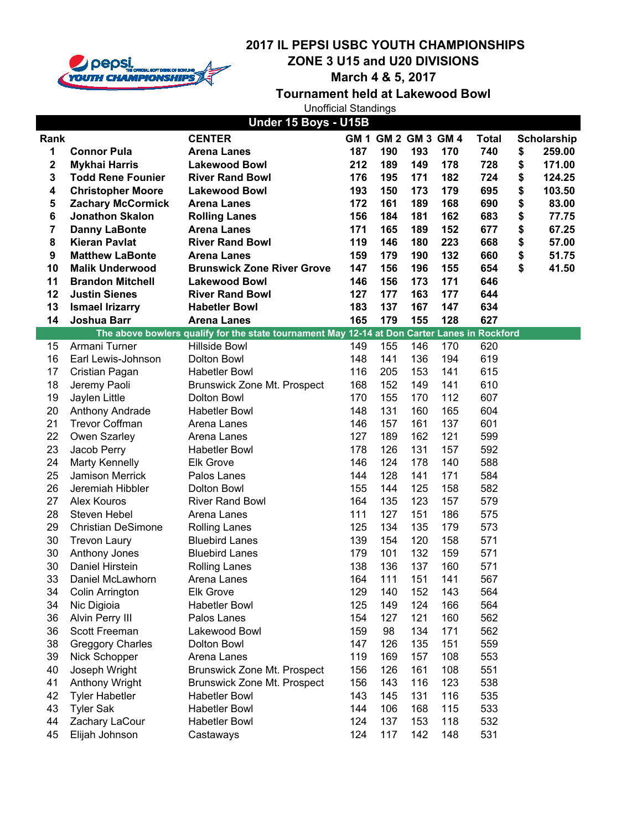

**ZONE 3 U15 and U20 DIVISIONS**

**March 4 & 5, 2017**

|                  |                                          | <b>Unofficial Standings</b>                                                                  |            |            |                     |            |              |                    |
|------------------|------------------------------------------|----------------------------------------------------------------------------------------------|------------|------------|---------------------|------------|--------------|--------------------|
|                  |                                          | Under 15 Boys - U15B                                                                         |            |            |                     |            |              |                    |
| Rank             |                                          | <b>CENTER</b>                                                                                |            |            | GM 1 GM 2 GM 3 GM 4 |            | <b>Total</b> | <b>Scholarship</b> |
| 1                | <b>Connor Pula</b>                       | <b>Arena Lanes</b>                                                                           | 187        | 190        | 193                 | 170        | 740          | \$<br>259.00       |
| 2                | <b>Mykhai Harris</b>                     | <b>Lakewood Bowl</b>                                                                         | 212        | 189        | 149                 | 178        | 728          | \$<br>171.00       |
| 3                | <b>Todd Rene Founier</b>                 | <b>River Rand Bowl</b>                                                                       | 176        | 195        | 171                 | 182        | 724          | \$<br>124.25       |
| 4                | <b>Christopher Moore</b>                 | <b>Lakewood Bowl</b>                                                                         | 193        | 150        | 173                 | 179        | 695          | \$<br>103.50       |
| 5                | <b>Zachary McCormick</b>                 | <b>Arena Lanes</b>                                                                           | 172        | 161        | 189                 | 168        | 690          | \$<br>83.00        |
| 6                | <b>Jonathon Skalon</b>                   | <b>Rolling Lanes</b>                                                                         | 156        | 184        | 181                 | 162        | 683          | \$<br>77.75        |
| 7                | <b>Danny LaBonte</b>                     | <b>Arena Lanes</b>                                                                           | 171        | 165        | 189                 | 152        | 677          | \$<br>67.25        |
| 8                | <b>Kieran Pavlat</b>                     | <b>River Rand Bowl</b>                                                                       | 119        | 146        | 180                 | 223        | 668          | \$<br>57.00        |
| $\boldsymbol{9}$ | <b>Matthew LaBonte</b>                   | <b>Arena Lanes</b>                                                                           | 159        | 179        | 190                 | 132        | 660          | \$<br>51.75        |
| 10               | <b>Malik Underwood</b>                   | <b>Brunswick Zone River Grove</b>                                                            | 147        | 156        | 196                 | 155        | 654          | \$<br>41.50        |
| 11               | <b>Brandon Mitchell</b>                  | <b>Lakewood Bowl</b>                                                                         | 146        | 156        | 173                 | 171        | 646          |                    |
| 12               | <b>Justin Sienes</b>                     | <b>River Rand Bowl</b>                                                                       | 127        | 177        | 163                 | 177        | 644          |                    |
| 13               | <b>Ismael Irizarry</b>                   | <b>Habetler Bowl</b>                                                                         | 183        | 137        | 167                 | 147        | 634          |                    |
| 14               | Joshua Barr                              | <b>Arena Lanes</b>                                                                           | 165        | 179        | 155                 | 128        | 627          |                    |
|                  |                                          | The above bowlers qualify for the state tournament May 12-14 at Don Carter Lanes in Rockford |            |            |                     |            |              |                    |
| 15               | Armani Turner                            | Hillside Bowl                                                                                | 149        | 155        | 146                 | 170        | 620          |                    |
| 16               | Earl Lewis-Johnson                       | Dolton Bowl                                                                                  | 148        | 141        | 136                 | 194        | 619          |                    |
| 17               | Cristian Pagan                           | <b>Habetler Bowl</b>                                                                         | 116        | 205        | 153                 | 141        | 615          |                    |
| 18               | Jeremy Paoli                             | Brunswick Zone Mt. Prospect                                                                  | 168        | 152        | 149                 | 141        | 610          |                    |
| 19               | Jaylen Little                            | Dolton Bowl                                                                                  | 170        | 155        | 170                 | 112        | 607          |                    |
| 20               | Anthony Andrade                          | <b>Habetler Bowl</b>                                                                         | 148        | 131        | 160                 | 165        | 604          |                    |
| 21               | <b>Trevor Coffman</b>                    | Arena Lanes                                                                                  | 146        | 157        | 161                 | 137        | 601          |                    |
| 22               | Owen Szarley                             | Arena Lanes                                                                                  | 127        | 189        | 162                 | 121        | 599          |                    |
| 23               | Jacob Perry                              | <b>Habetler Bowl</b>                                                                         | 178<br>146 | 126<br>124 | 131<br>178          | 157<br>140 | 592<br>588   |                    |
| 24<br>25         | <b>Marty Kennelly</b><br>Jamison Merrick | <b>Elk Grove</b><br>Palos Lanes                                                              | 144        | 128        | 141                 | 171        | 584          |                    |
| 26               | Jeremiah Hibbler                         | Dolton Bowl                                                                                  | 155        | 144        | 125                 | 158        | 582          |                    |
| 27               | Alex Kouros                              | <b>River Rand Bowl</b>                                                                       | 164        | 135        | 123                 | 157        | 579          |                    |
| 28               | Steven Hebel                             | Arena Lanes                                                                                  | 111        | 127        | 151                 | 186        | 575          |                    |
| 29               | <b>Christian DeSimone</b>                | <b>Rolling Lanes</b>                                                                         | 125        | 134        | 135                 | 179        | 573          |                    |
| 30               | <b>Trevon Laury</b>                      | <b>Bluebird Lanes</b>                                                                        | 139        | 154        | 120                 | 158        | 571          |                    |
| 30               | Anthony Jones                            | <b>Bluebird Lanes</b>                                                                        | 179        | 101        | 132                 | 159        | 571          |                    |
| 30               | Daniel Hirstein                          | <b>Rolling Lanes</b>                                                                         | 138        | 136        | 137                 | 160        | 571          |                    |
| 33               | Daniel McLawhorn                         | Arena Lanes                                                                                  | 164        | 111        | 151                 | 141        | 567          |                    |
| 34               | Colin Arrington                          | <b>Elk Grove</b>                                                                             | 129        | 140        | 152                 | 143        | 564          |                    |
| 34               | Nic Digioia                              | <b>Habetler Bowl</b>                                                                         | 125        | 149        | 124                 | 166        | 564          |                    |
| 36               | Alvin Perry III                          | Palos Lanes                                                                                  | 154        | 127        | 121                 | 160        | 562          |                    |
| 36               | Scott Freeman                            | Lakewood Bowl                                                                                | 159        | 98         | 134                 | 171        | 562          |                    |
| 38               | <b>Greggory Charles</b>                  | Dolton Bowl                                                                                  | 147        | 126        | 135                 | 151        | 559          |                    |
| 39               | Nick Schopper                            | Arena Lanes                                                                                  | 119        | 169        | 157                 | 108        | 553          |                    |
| 40               | Joseph Wright                            | Brunswick Zone Mt. Prospect                                                                  | 156        | 126        | 161                 | 108        | 551          |                    |
| 41               | <b>Anthony Wright</b>                    | Brunswick Zone Mt. Prospect                                                                  | 156        | 143        | 116                 | 123        | 538          |                    |
| 42               | <b>Tyler Habetler</b>                    | <b>Habetler Bowl</b>                                                                         | 143        | 145        | 131                 | 116        | 535          |                    |
| 43               | <b>Tyler Sak</b>                         | <b>Habetler Bowl</b>                                                                         | 144        | 106        | 168                 | 115        | 533          |                    |
| 44               | Zachary LaCour                           | <b>Habetler Bowl</b>                                                                         | 124        | 137        | 153                 | 118        | 532          |                    |
| 45               | Elijah Johnson                           | Castaways                                                                                    | 124        | 117        | 142                 | 148        | 531          |                    |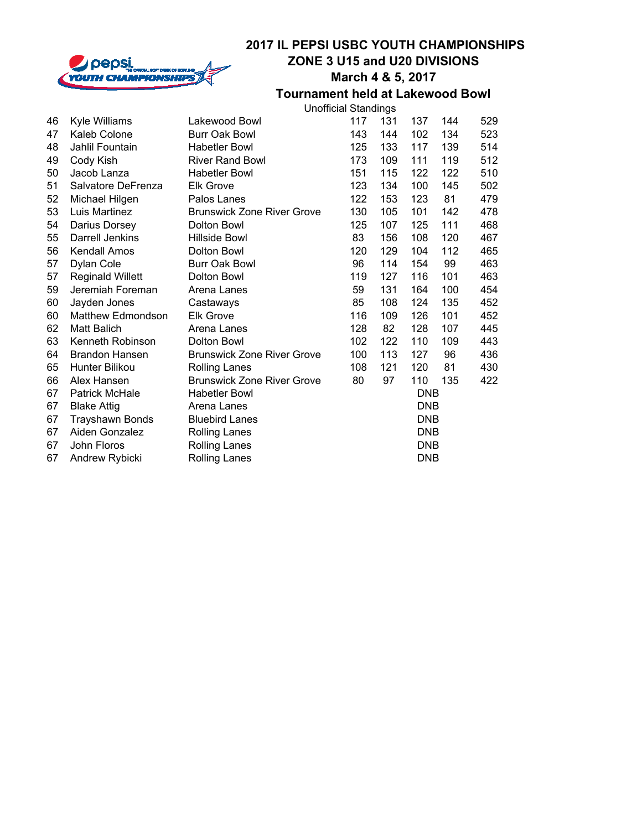

### **2017 IL PEPSI USBC YOUTH CHAMPIONSHIPS ZONE 3 U15 and U20 DIVISIONS**

## **March 4 & 5, 2017**

|    |                          | <b>Unofficial Standings</b>       |     |            |            |     |     |  |  |  |
|----|--------------------------|-----------------------------------|-----|------------|------------|-----|-----|--|--|--|
| 46 | Kyle Williams            | Lakewood Bowl                     | 117 | 131        | 137        | 144 | 529 |  |  |  |
| 47 | Kaleb Colone             | <b>Burr Oak Bowl</b>              | 143 | 144        | 102        | 134 | 523 |  |  |  |
| 48 | Jahlil Fountain          | <b>Habetler Bowl</b>              | 125 | 133        | 117        | 139 | 514 |  |  |  |
| 49 | Cody Kish                | <b>River Rand Bowl</b>            | 173 | 109        | 111        | 119 | 512 |  |  |  |
| 50 | Jacob Lanza              | <b>Habetler Bowl</b>              | 151 | 115        | 122        | 122 | 510 |  |  |  |
| 51 | Salvatore DeFrenza       | <b>Elk Grove</b>                  | 123 | 134        | 100        | 145 | 502 |  |  |  |
| 52 | Michael Hilgen           | Palos Lanes                       | 122 | 153        | 123        | 81  | 479 |  |  |  |
| 53 | Luis Martinez            | <b>Brunswick Zone River Grove</b> | 130 | 105        | 101        | 142 | 478 |  |  |  |
| 54 | Darius Dorsey            | Dolton Bowl                       | 125 | 107        | 125        | 111 | 468 |  |  |  |
| 55 | Darrell Jenkins          | Hillside Bowl                     | 83  | 156        | 108        | 120 | 467 |  |  |  |
| 56 | <b>Kendall Amos</b>      | Dolton Bowl                       | 120 | 129        | 104        | 112 | 465 |  |  |  |
| 57 | Dylan Cole               | <b>Burr Oak Bowl</b>              | 96  | 114        | 154        | 99  | 463 |  |  |  |
| 57 | <b>Reginald Willett</b>  | Dolton Bowl                       | 119 | 127        | 116        | 101 | 463 |  |  |  |
| 59 | Jeremiah Foreman         | Arena Lanes                       | 59  | 131        | 164        | 100 | 454 |  |  |  |
| 60 | Jayden Jones             | Castaways                         | 85  | 108        | 124        | 135 | 452 |  |  |  |
| 60 | <b>Matthew Edmondson</b> | <b>Elk Grove</b>                  | 116 | 109        | 126        | 101 | 452 |  |  |  |
| 62 | <b>Matt Balich</b>       | Arena Lanes                       | 128 | 82         | 128        | 107 | 445 |  |  |  |
| 63 | Kenneth Robinson         | Dolton Bowl                       | 102 | 122        | 110        | 109 | 443 |  |  |  |
| 64 | <b>Brandon Hansen</b>    | <b>Brunswick Zone River Grove</b> | 100 | 113        | 127        | 96  | 436 |  |  |  |
| 65 | Hunter Bilikou           | <b>Rolling Lanes</b>              | 108 | 121        | 120        | 81  | 430 |  |  |  |
| 66 | Alex Hansen              | <b>Brunswick Zone River Grove</b> | 80  | 97         | 110        | 135 | 422 |  |  |  |
| 67 | Patrick McHale           | <b>Habetler Bowl</b>              |     |            | <b>DNB</b> |     |     |  |  |  |
| 67 | <b>Blake Attig</b>       | Arena Lanes                       |     |            | DNB        |     |     |  |  |  |
| 67 | <b>Trayshawn Bonds</b>   | <b>Bluebird Lanes</b>             |     |            | DNB        |     |     |  |  |  |
| 67 | Aiden Gonzalez           | Rolling Lanes                     |     | <b>DNB</b> |            |     |     |  |  |  |
| 67 | John Floros              | <b>Rolling Lanes</b>              |     |            | <b>DNB</b> |     |     |  |  |  |
| 67 | Andrew Rybicki           | Rolling Lanes                     |     |            | DNB        |     |     |  |  |  |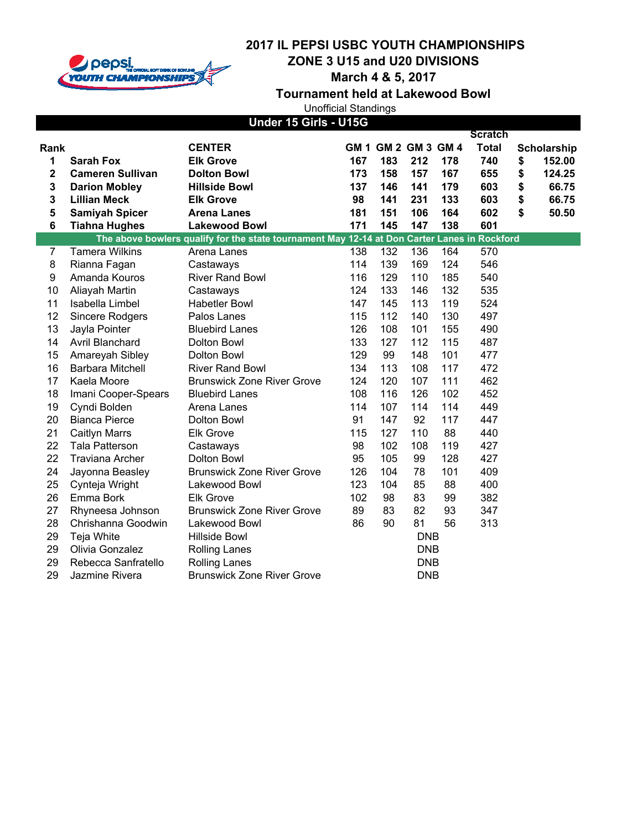

**ZONE 3 U15 and U20 DIVISIONS**

**March 4 & 5, 2017**

| <b>Unofficial Standings</b> |  |
|-----------------------------|--|
| IIndor 4E Cirle I 14EC      |  |

|                |                         | סטוט - סוווט טו                                                                              |     |                     |            |     | <b>Scratch</b> |              |
|----------------|-------------------------|----------------------------------------------------------------------------------------------|-----|---------------------|------------|-----|----------------|--------------|
| Rank           |                         | <b>CENTER</b>                                                                                |     | GM 1 GM 2 GM 3 GM 4 |            |     | <b>Total</b>   | Scholarship  |
| 1              | <b>Sarah Fox</b>        | <b>Elk Grove</b>                                                                             | 167 | 183                 | 212        | 178 | 740            | \$<br>152.00 |
| 2              | <b>Cameren Sullivan</b> | <b>Dolton Bowl</b>                                                                           | 173 | 158                 | 157        | 167 | 655            | \$<br>124.25 |
| 3              | <b>Darion Mobley</b>    | <b>Hillside Bowl</b>                                                                         | 137 | 146                 | 141        | 179 | 603            | \$<br>66.75  |
| 3              | <b>Lillian Meck</b>     | <b>Elk Grove</b>                                                                             | 98  | 141                 | 231        | 133 | 603            | \$<br>66.75  |
| 5              | <b>Samiyah Spicer</b>   | <b>Arena Lanes</b>                                                                           | 181 | 151                 | 106        | 164 | 602            | \$<br>50.50  |
| 6              | <b>Tiahna Hughes</b>    | <b>Lakewood Bowl</b>                                                                         | 171 | 145                 | 147        | 138 | 601            |              |
|                |                         | The above bowlers qualify for the state tournament May 12-14 at Don Carter Lanes in Rockford |     |                     |            |     |                |              |
| $\overline{7}$ | <b>Tamera Wilkins</b>   | Arena Lanes                                                                                  | 138 | 132                 | 136        | 164 | 570            |              |
| 8              | Rianna Fagan            | Castaways                                                                                    | 114 | 139                 | 169        | 124 | 546            |              |
| 9              | Amanda Kouros           | <b>River Rand Bowl</b>                                                                       | 116 | 129                 | 110        | 185 | 540            |              |
| 10             | Aliayah Martin          | Castaways                                                                                    | 124 | 133                 | 146        | 132 | 535            |              |
| 11             | Isabella Limbel         | <b>Habetler Bowl</b>                                                                         | 147 | 145                 | 113        | 119 | 524            |              |
| 12             | Sincere Rodgers         | Palos Lanes                                                                                  | 115 | 112                 | 140        | 130 | 497            |              |
| 13             | Jayla Pointer           | <b>Bluebird Lanes</b>                                                                        | 126 | 108                 | 101        | 155 | 490            |              |
| 14             | Avril Blanchard         | Dolton Bowl                                                                                  | 133 | 127                 | 112        | 115 | 487            |              |
| 15             | Amareyah Sibley         | Dolton Bowl                                                                                  | 129 | 99                  | 148        | 101 | 477            |              |
| 16             | Barbara Mitchell        | <b>River Rand Bowl</b>                                                                       | 134 | 113                 | 108        | 117 | 472            |              |
| 17             | Kaela Moore             | <b>Brunswick Zone River Grove</b>                                                            | 124 | 120                 | 107        | 111 | 462            |              |
| 18             | Imani Cooper-Spears     | <b>Bluebird Lanes</b>                                                                        | 108 | 116                 | 126        | 102 | 452            |              |
| 19             | Cyndi Bolden            | Arena Lanes                                                                                  | 114 | 107                 | 114        | 114 | 449            |              |
| 20             | <b>Bianca Pierce</b>    | Dolton Bowl                                                                                  | 91  | 147                 | 92         | 117 | 447            |              |
| 21             | <b>Caitlyn Marrs</b>    | <b>Elk Grove</b>                                                                             | 115 | 127                 | 110        | 88  | 440            |              |
| 22             | <b>Tala Patterson</b>   | Castaways                                                                                    | 98  | 102                 | 108        | 119 | 427            |              |
| 22             | <b>Traviana Archer</b>  | Dolton Bowl                                                                                  | 95  | 105                 | 99         | 128 | 427            |              |
| 24             | Jayonna Beasley         | <b>Brunswick Zone River Grove</b>                                                            | 126 | 104                 | 78         | 101 | 409            |              |
| 25             | Cynteja Wright          | Lakewood Bowl                                                                                | 123 | 104                 | 85         | 88  | 400            |              |
| 26             | Emma Bork               | <b>Elk Grove</b>                                                                             | 102 | 98                  | 83         | 99  | 382            |              |
| 27             | Rhyneesa Johnson        | <b>Brunswick Zone River Grove</b>                                                            | 89  | 83                  | 82         | 93  | 347            |              |
| 28             | Chrishanna Goodwin      | Lakewood Bowl                                                                                | 86  | 90                  | 81         | 56  | 313            |              |
| 29             | Teja White              | <b>Hillside Bowl</b>                                                                         |     |                     | <b>DNB</b> |     |                |              |
| 29             | Olivia Gonzalez         | Rolling Lanes                                                                                |     |                     | <b>DNB</b> |     |                |              |
| 29             | Rebecca Sanfratello     | <b>Rolling Lanes</b>                                                                         |     |                     | <b>DNB</b> |     |                |              |
| 29             | Jazmine Rivera          | <b>Brunswick Zone River Grove</b>                                                            |     |                     | <b>DNB</b> |     |                |              |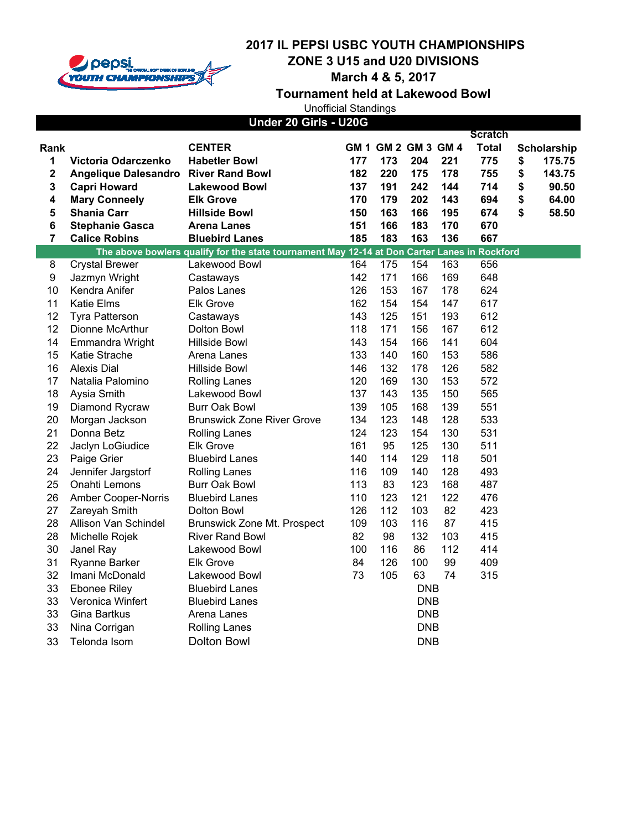

**ZONE 3 U15 and U20 DIVISIONS**

**March 4 & 5, 2017**

**Tournament held at Lakewood Bowl**

Unofficial Standings

|                  |                                      | Under 20 Girls - U20G                                                                        |     |                     |            |     |                |              |
|------------------|--------------------------------------|----------------------------------------------------------------------------------------------|-----|---------------------|------------|-----|----------------|--------------|
|                  |                                      |                                                                                              |     |                     |            |     | <b>Scratch</b> |              |
| <b>Rank</b>      |                                      | <b>CENTER</b>                                                                                |     | GM 1 GM 2 GM 3 GM 4 |            |     | <b>Total</b>   | Scholarship  |
| 1                | Victoria Odarczenko                  | <b>Habetler Bowl</b>                                                                         | 177 | 173                 | 204        | 221 | 775            | \$<br>175.75 |
| $\mathbf 2$      | Angelique Dalesandro River Rand Bowl |                                                                                              | 182 | 220                 | 175        | 178 | 755            | \$<br>143.75 |
| 3                | <b>Capri Howard</b>                  | <b>Lakewood Bowl</b>                                                                         | 137 | 191                 | 242        | 144 | 714            | \$<br>90.50  |
| 4                | <b>Mary Conneely</b>                 | <b>Elk Grove</b>                                                                             | 170 | 179                 | 202        | 143 | 694            | \$<br>64.00  |
| 5                | <b>Shania Carr</b>                   | <b>Hillside Bowl</b>                                                                         | 150 | 163                 | 166        | 195 | 674            | \$<br>58.50  |
| 6                | <b>Stephanie Gasca</b>               | <b>Arena Lanes</b>                                                                           | 151 | 166                 | 183        | 170 | 670            |              |
| 7                | <b>Calice Robins</b>                 | <b>Bluebird Lanes</b>                                                                        | 185 | 183                 | 163        | 136 | 667            |              |
|                  |                                      | The above bowlers qualify for the state tournament May 12-14 at Don Carter Lanes in Rockford |     |                     |            |     |                |              |
| 8                | <b>Crystal Brewer</b>                | Lakewood Bowl                                                                                | 164 | 175                 | 154        | 163 | 656            |              |
| $\boldsymbol{9}$ | Jazmyn Wright                        | Castaways                                                                                    | 142 | 171                 | 166        | 169 | 648            |              |
| 10               | Kendra Anifer                        | Palos Lanes                                                                                  | 126 | 153                 | 167        | 178 | 624            |              |
| 11               | <b>Katie Elms</b>                    | <b>Elk Grove</b>                                                                             | 162 | 154                 | 154        | 147 | 617            |              |
| 12               | <b>Tyra Patterson</b>                | Castaways                                                                                    | 143 | 125                 | 151        | 193 | 612            |              |
| 12               | Dionne McArthur                      | Dolton Bowl                                                                                  | 118 | 171                 | 156        | 167 | 612            |              |
| 14               | <b>Emmandra Wright</b>               | <b>Hillside Bowl</b>                                                                         | 143 | 154                 | 166        | 141 | 604            |              |
| 15               | <b>Katie Strache</b>                 | Arena Lanes                                                                                  | 133 | 140                 | 160        | 153 | 586            |              |
| 16               | <b>Alexis Dial</b>                   | Hillside Bowl                                                                                | 146 | 132                 | 178        | 126 | 582            |              |
| 17               | Natalia Palomino                     | <b>Rolling Lanes</b>                                                                         | 120 | 169                 | 130        | 153 | 572            |              |
| 18               | Aysia Smith                          | Lakewood Bowl                                                                                | 137 | 143                 | 135        | 150 | 565            |              |
| 19               | Diamond Rycraw                       | <b>Burr Oak Bowl</b>                                                                         | 139 | 105                 | 168        | 139 | 551            |              |
| 20               | Morgan Jackson                       | <b>Brunswick Zone River Grove</b>                                                            | 134 | 123                 | 148        | 128 | 533            |              |
| 21               | Donna Betz                           | <b>Rolling Lanes</b>                                                                         | 124 | 123                 | 154        | 130 | 531            |              |
| 22               | Jaclyn LoGiudice                     | <b>Elk Grove</b>                                                                             | 161 | 95                  | 125        | 130 | 511            |              |
| 23               | Paige Grier                          | <b>Bluebird Lanes</b>                                                                        | 140 | 114                 | 129        | 118 | 501            |              |
| 24               | Jennifer Jargstorf                   | <b>Rolling Lanes</b>                                                                         | 116 | 109                 | 140        | 128 | 493            |              |
| 25               | Onahti Lemons                        | <b>Burr Oak Bowl</b>                                                                         | 113 | 83                  | 123        | 168 | 487            |              |
| 26               | Amber Cooper-Norris                  | <b>Bluebird Lanes</b>                                                                        | 110 | 123                 | 121        | 122 | 476            |              |
| 27               | Zareyah Smith                        | Dolton Bowl                                                                                  | 126 | 112                 | 103        | 82  | 423            |              |
| 28               | Allison Van Schindel                 | Brunswick Zone Mt. Prospect                                                                  | 109 | 103                 | 116        | 87  | 415            |              |
| 28               | Michelle Rojek                       | <b>River Rand Bowl</b>                                                                       | 82  | 98                  | 132        | 103 | 415            |              |
| 30               | Janel Ray                            | Lakewood Bowl                                                                                | 100 | 116                 | 86         | 112 | 414            |              |
| 31               | Ryanne Barker                        | <b>Elk Grove</b>                                                                             | 84  | 126                 | 100        | 99  | 409            |              |
| 32               | Imani McDonald                       | Lakewood Bowl                                                                                | 73  | 105                 | 63         | 74  | 315            |              |
| 33               | <b>Ebonee Riley</b>                  | <b>Bluebird Lanes</b>                                                                        |     |                     | <b>DNB</b> |     |                |              |
| 33               | Veronica Winfert                     | <b>Bluebird Lanes</b>                                                                        |     |                     | <b>DNB</b> |     |                |              |
| 33               | Gina Bartkus                         | Arena Lanes                                                                                  |     |                     | <b>DNB</b> |     |                |              |
| 33               | Nina Corrigan                        | <b>Rolling Lanes</b>                                                                         |     |                     | <b>DNB</b> |     |                |              |
| 33               | Telonda Isom                         | <b>Dolton Bowl</b>                                                                           |     |                     | <b>DNB</b> |     |                |              |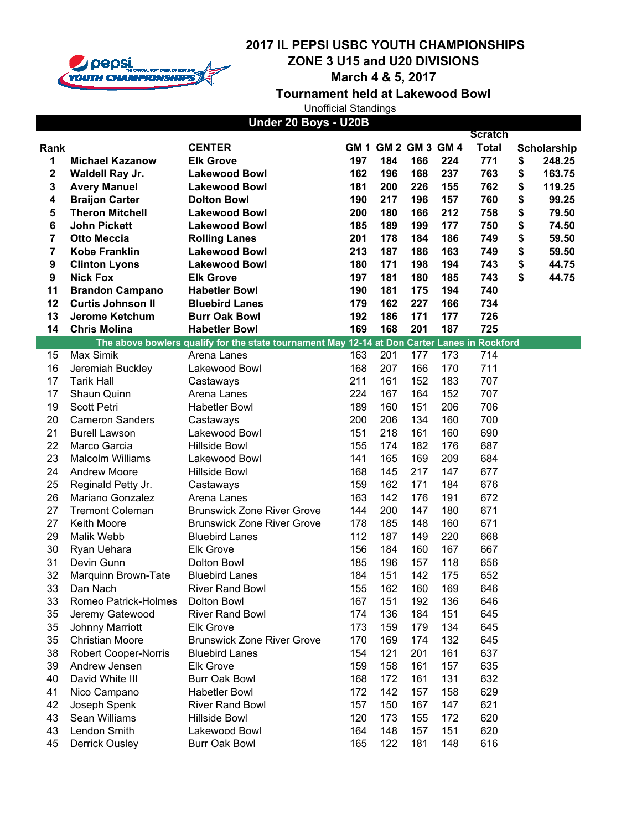

**ZONE 3 U15 and U20 DIVISIONS**

**March 4 & 5, 2017**

**Tournament held at Lakewood Bowl**

Unofficial Standings

| Under 20 Boys - U20B |  |
|----------------------|--|
|----------------------|--|

|      |                             |                                                                                              |     |                     |     |     | <b>Scratch</b> |              |
|------|-----------------------------|----------------------------------------------------------------------------------------------|-----|---------------------|-----|-----|----------------|--------------|
| Rank |                             | <b>CENTER</b>                                                                                |     | GM 1 GM 2 GM 3 GM 4 |     |     | <b>Total</b>   | Scholarship  |
| 1    | <b>Michael Kazanow</b>      | <b>Elk Grove</b>                                                                             | 197 | 184                 | 166 | 224 | 771            | \$<br>248.25 |
| 2    | Waldell Ray Jr.             | <b>Lakewood Bowl</b>                                                                         | 162 | 196                 | 168 | 237 | 763            | \$<br>163.75 |
| 3    | <b>Avery Manuel</b>         | <b>Lakewood Bowl</b>                                                                         | 181 | 200                 | 226 | 155 | 762            | \$<br>119.25 |
| 4    | <b>Braijon Carter</b>       | <b>Dolton Bowl</b>                                                                           | 190 | 217                 | 196 | 157 | 760            | \$<br>99.25  |
| 5    | <b>Theron Mitchell</b>      | <b>Lakewood Bowl</b>                                                                         | 200 | 180                 | 166 | 212 | 758            | \$<br>79.50  |
| 6    | <b>John Pickett</b>         | <b>Lakewood Bowl</b>                                                                         | 185 | 189                 | 199 | 177 | 750            | \$<br>74.50  |
| 7    | <b>Otto Meccia</b>          | <b>Rolling Lanes</b>                                                                         | 201 | 178                 | 184 | 186 | 749            | \$<br>59.50  |
| 7    | <b>Kobe Franklin</b>        | <b>Lakewood Bowl</b>                                                                         | 213 | 187                 | 186 | 163 | 749            | \$<br>59.50  |
| 9    | <b>Clinton Lyons</b>        | <b>Lakewood Bowl</b>                                                                         | 180 | 171                 | 198 | 194 | 743            | \$<br>44.75  |
| 9    | <b>Nick Fox</b>             | <b>Elk Grove</b>                                                                             | 197 | 181                 | 180 | 185 | 743            | \$<br>44.75  |
| 11   | <b>Brandon Campano</b>      | <b>Habetler Bowl</b>                                                                         | 190 | 181                 | 175 | 194 | 740            |              |
| 12   | <b>Curtis Johnson II</b>    | <b>Bluebird Lanes</b>                                                                        | 179 | 162                 | 227 | 166 | 734            |              |
| 13   | Jerome Ketchum              | <b>Burr Oak Bowl</b>                                                                         | 192 | 186                 | 171 | 177 | 726            |              |
| 14   | <b>Chris Molina</b>         | <b>Habetler Bowl</b>                                                                         | 169 | 168                 | 201 | 187 | 725            |              |
|      |                             | The above bowlers qualify for the state tournament May 12-14 at Don Carter Lanes in Rockford |     |                     |     |     |                |              |
| 15   | Max Simik                   | Arena Lanes                                                                                  | 163 | 201                 | 177 | 173 | 714            |              |
| 16   | Jeremiah Buckley            | Lakewood Bowl                                                                                | 168 | 207                 | 166 | 170 | 711            |              |
| 17   | <b>Tarik Hall</b>           | Castaways                                                                                    | 211 | 161                 | 152 | 183 | 707            |              |
| 17   | Shaun Quinn                 | Arena Lanes                                                                                  | 224 | 167                 | 164 | 152 | 707            |              |
| 19   | Scott Petri                 | <b>Habetler Bowl</b>                                                                         | 189 | 160                 | 151 | 206 | 706            |              |
| 20   | <b>Cameron Sanders</b>      | Castaways                                                                                    | 200 | 206                 | 134 | 160 | 700            |              |
| 21   | <b>Burell Lawson</b>        | Lakewood Bowl                                                                                | 151 | 218                 | 161 | 160 | 690            |              |
| 22   | Marco Garcia                | <b>Hillside Bowl</b>                                                                         | 155 | 174                 | 182 | 176 | 687            |              |
| 23   | <b>Malcolm Williams</b>     | Lakewood Bowl                                                                                | 141 | 165                 | 169 | 209 | 684            |              |
| 24   | <b>Andrew Moore</b>         | Hillside Bowl                                                                                | 168 | 145                 | 217 | 147 | 677            |              |
| 25   | Reginald Petty Jr.          | Castaways                                                                                    | 159 | 162                 | 171 | 184 | 676            |              |
| 26   | Mariano Gonzalez            | Arena Lanes                                                                                  | 163 | 142                 | 176 | 191 | 672            |              |
| 27   | <b>Tremont Coleman</b>      | <b>Brunswick Zone River Grove</b>                                                            | 144 | 200                 | 147 | 180 | 671            |              |
| 27   | Keith Moore                 | <b>Brunswick Zone River Grove</b>                                                            | 178 | 185                 | 148 | 160 | 671            |              |
| 29   | Malik Webb                  | <b>Bluebird Lanes</b>                                                                        | 112 | 187                 | 149 | 220 | 668            |              |
| 30   |                             |                                                                                              |     | 184                 |     | 167 | 667            |              |
|      | Ryan Uehara<br>Devin Gunn   | <b>Elk Grove</b>                                                                             | 156 |                     | 160 |     |                |              |
| 31   |                             | Dolton Bowl                                                                                  | 185 | 196                 | 157 | 118 | 656            |              |
| 32   | Marquinn Brown-Tate         | <b>Bluebird Lanes</b>                                                                        | 184 | 151                 | 142 | 175 | 652            |              |
| 33   | Dan Nach                    | <b>River Rand Bowl</b>                                                                       | 155 | 162                 | 160 | 169 | 646            |              |
| 33   | Romeo Patrick-Holmes        | Dolton Bowl                                                                                  | 167 | 151                 | 192 | 136 | 646            |              |
| 35   | Jeremy Gatewood             | <b>River Rand Bowl</b>                                                                       | 174 | 136                 | 184 | 151 | 645            |              |
| 35   | <b>Johnny Marriott</b>      | <b>Elk Grove</b>                                                                             | 173 | 159                 | 179 | 134 | 645            |              |
| 35   | <b>Christian Moore</b>      | <b>Brunswick Zone River Grove</b>                                                            | 170 | 169                 | 174 | 132 | 645            |              |
| 38   | <b>Robert Cooper-Norris</b> | <b>Bluebird Lanes</b>                                                                        | 154 | 121                 | 201 | 161 | 637            |              |
| 39   | Andrew Jensen               | <b>Elk Grove</b>                                                                             | 159 | 158                 | 161 | 157 | 635            |              |
| 40   | David White III             | <b>Burr Oak Bowl</b>                                                                         | 168 | 172                 | 161 | 131 | 632            |              |
| 41   | Nico Campano                | <b>Habetler Bowl</b>                                                                         | 172 | 142                 | 157 | 158 | 629            |              |
| 42   | Joseph Spenk                | <b>River Rand Bowl</b>                                                                       | 157 | 150                 | 167 | 147 | 621            |              |
| 43   | Sean Williams               | <b>Hillside Bowl</b>                                                                         | 120 | 173                 | 155 | 172 | 620            |              |
| 43   | Lendon Smith                | Lakewood Bowl                                                                                | 164 | 148                 | 157 | 151 | 620            |              |
| 45   | <b>Derrick Ousley</b>       | <b>Burr Oak Bowl</b>                                                                         | 165 | 122                 | 181 | 148 | 616            |              |